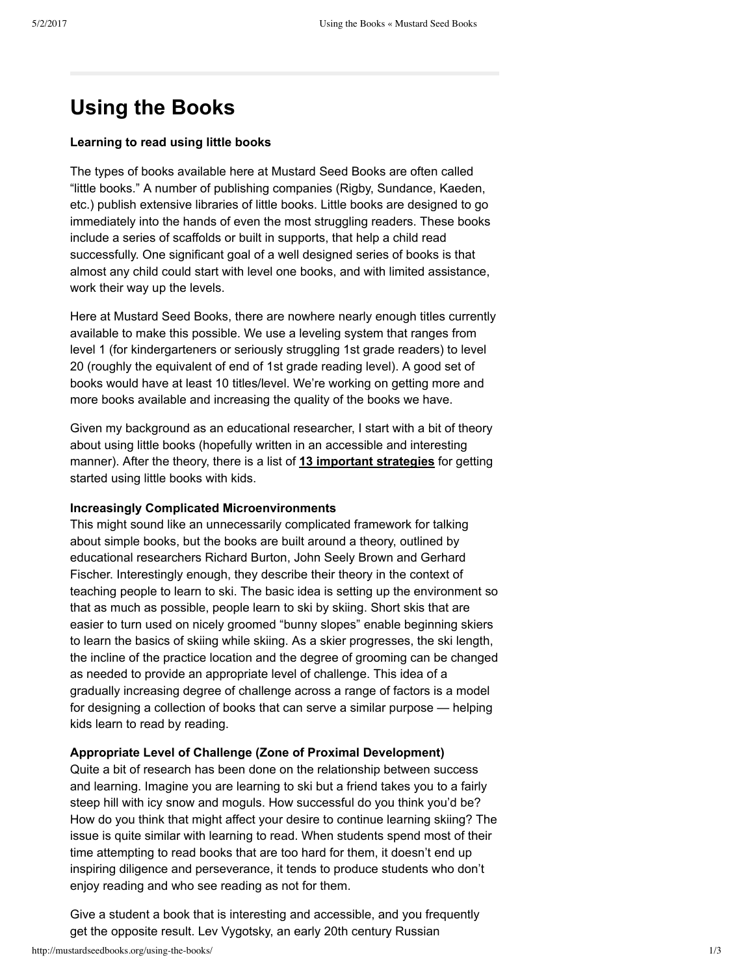## **Using the Books**

## **Learning to read using little books**

The types of books available here at Mustard Seed Books are often called "little books." A number of publishing companies (Rigby, Sundance, Kaeden, etc.) publish extensive libraries of little books. Little books are designed to go immediately into the hands of even the most struggling readers. These books include a series of scaffolds or built in supports, that help a child read successfully. One significant goal of a well designed series of books is that almost any child could start with level one books, and with limited assistance, work their way up the levels.

Here at Mustard Seed Books, there are nowhere nearly enough titles currently available to make this possible. We use a leveling system that ranges from level 1 (for kindergarteners or seriously struggling 1st grade readers) to level 20 (roughly the equivalent of end of 1st grade reading level). A good set of books would have at least 10 titles/level. We're working on getting more and more books available and increasing the quality of the books we have.

Given my background as an educational researcher, I start with a bit of theory about using little books (hopefully written in an accessible and interesting manner). After the theory, there is a list of **13 important [strategies](http://www.mustardseedbooks.org/usingbooks.php#Quick)** for getting started using little books with kids.

## **Increasingly Complicated Microenvironments**

This might sound like an unnecessarily complicated framework for talking about simple books, but the books are built around a theory, outlined by educational researchers Richard Burton, John Seely Brown and Gerhard Fischer. Interestingly enough, they describe their theory in the context of teaching people to learn to ski. The basic idea is setting up the environment so that as much as possible, people learn to ski by skiing. Short skis that are easier to turn used on nicely groomed "bunny slopes" enable beginning skiers to learn the basics of skiing while skiing. As a skier progresses, the ski length, the incline of the practice location and the degree of grooming can be changed as needed to provide an appropriate level of challenge. This idea of a gradually increasing degree of challenge across a range of factors is a model for designing a collection of books that can serve a similar purpose — helping kids learn to read by reading.

## **Appropriate Level of Challenge (Zone of Proximal Development)**

Quite a bit of research has been done on the relationship between success and learning. Imagine you are learning to ski but a friend takes you to a fairly steep hill with icy snow and moguls. How successful do you think you'd be? How do you think that might affect your desire to continue learning skiing? The issue is quite similar with learning to read. When students spend most of their time attempting to read books that are too hard for them, it doesn't end up inspiring diligence and perseverance, it tends to produce students who don't enjoy reading and who see reading as not for them.

Give a student a book that is interesting and accessible, and you frequently get the opposite result. Lev Vygotsky, an early 20th century Russian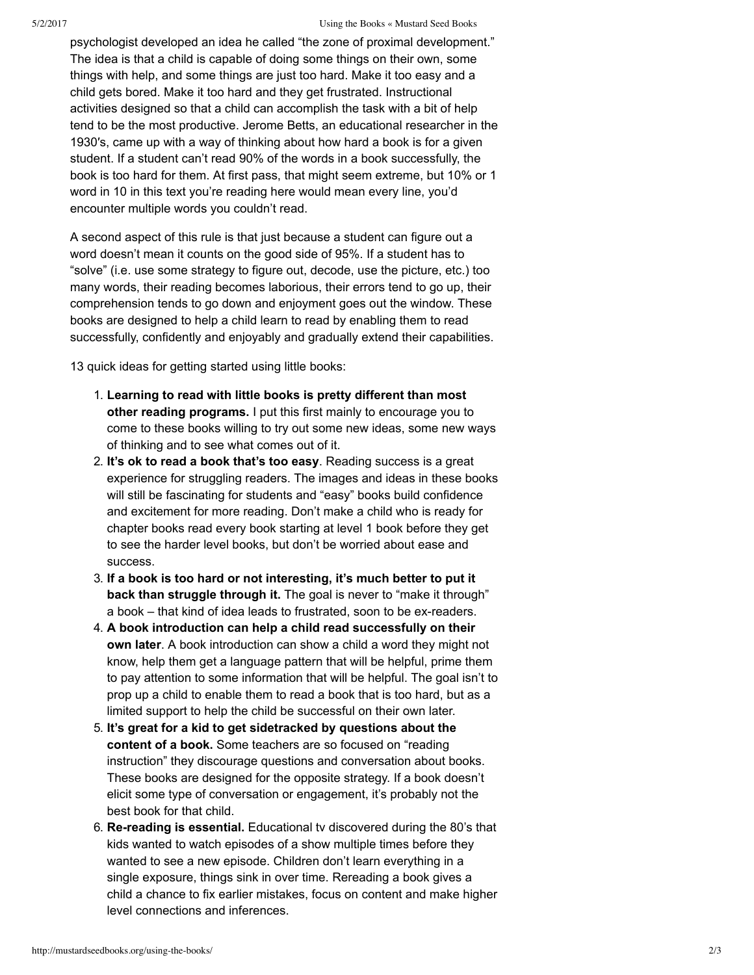psychologist developed an idea he called "the zone of proximal development." The idea is that a child is capable of doing some things on their own, some things with help, and some things are just too hard. Make it too easy and a child gets bored. Make it too hard and they get frustrated. Instructional activities designed so that a child can accomplish the task with a bit of help tend to be the most productive. Jerome Betts, an educational researcher in the 1930′s, came up with a way of thinking about how hard a book is for a given student. If a student can't read 90% of the words in a book successfully, the book is too hard for them. At first pass, that might seem extreme, but 10% or 1 word in 10 in this text you're reading here would mean every line, you'd encounter multiple words you couldn't read.

A second aspect of this rule is that just because a student can figure out a word doesn't mean it counts on the good side of 95%. If a student has to "solve" (i.e. use some strategy to figure out, decode, use the picture, etc.) too many words, their reading becomes laborious, their errors tend to go up, their comprehension tends to go down and enjoyment goes out the window. These books are designed to help a child learn to read by enabling them to read successfully, confidently and enjoyably and gradually extend their capabilities.

13 quick ideas for getting started using little books:

- 1. **Learning to read with little books is pretty different than most other reading programs.** I put this first mainly to encourage you to come to these books willing to try out some new ideas, some new ways of thinking and to see what comes out of it.
- 2. **It's ok to read a book that's too easy**. Reading success is a great experience for struggling readers. The images and ideas in these books will still be fascinating for students and "easy" books build confidence and excitement for more reading. Don't make a child who is ready for chapter books read every book starting at level 1 book before they get to see the harder level books, but don't be worried about ease and success.
- 3. **If a book is too hard or not interesting, it's much better to put it back than struggle through it.** The goal is never to "make it through" a book – that kind of idea leads to frustrated, soon to be ex-readers.
- 4. **A book introduction can help a child read successfully on their own later**. A book introduction can show a child a word they might not know, help them get a language pattern that will be helpful, prime them to pay attention to some information that will be helpful. The goal isn't to prop up a child to enable them to read a book that is too hard, but as a limited support to help the child be successful on their own later.
- 5. **It's great for a kid to get sidetracked by questions about the content of a book.** Some teachers are so focused on "reading instruction" they discourage questions and conversation about books. These books are designed for the opposite strategy. If a book doesn't elicit some type of conversation or engagement, it's probably not the best book for that child.
- 6. **Rereading is essential.** Educational tv discovered during the 80's that kids wanted to watch episodes of a show multiple times before they wanted to see a new episode. Children don't learn everything in a single exposure, things sink in over time. Rereading a book gives a child a chance to fix earlier mistakes, focus on content and make higher level connections and inferences.